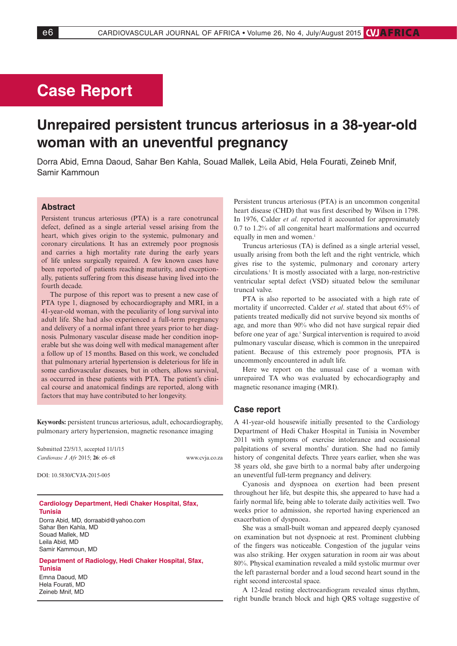## **Case Report**

# **Unrepaired persistent truncus arteriosus in a 38-year-old woman with an uneventful pregnancy**

Dorra Abid, Emna Daoud, Sahar Ben Kahla, Souad Mallek, Leila Abid, Hela Fourati, Zeineb Mnif, Samir Kammoun

### **Abstract**

Persistent truncus arteriosus (PTA) is a rare conotruncal defect, defined as a single arterial vessel arising from the heart, which gives origin to the systemic, pulmonary and coronary circulations. It has an extremely poor prognosis and carries a high mortality rate during the early years of life unless surgically repaired. A few known cases have been reported of patients reaching maturity, and exceptionally, patients suffering from this disease having lived into the fourth decade.

The purpose of this report was to present a new case of PTA type 1, diagnosed by echocardiography and MRI, in a 41-year-old woman, with the peculiarity of long survival into adult life. She had also experienced a full-term pregnancy and delivery of a normal infant three years prior to her diagnosis. Pulmonary vascular disease made her condition inoperable but she was doing well with medical management after a follow up of 15 months. Based on this work, we concluded that pulmonary arterial hypertension is deleterious for life in some cardiovascular diseases, but in others, allows survival, as occurred in these patients with PTA. The patient's clinical course and anatomical findings are reported, along with factors that may have contributed to her longevity.

**Keywords:** persistent truncus arteriosus, adult, echocardiography, pulmonary artery hypertension, magnetic resonance imaging

| Submitted 22/5/13, accepted 11/1/15 |                |
|-------------------------------------|----------------|
| Cardiovasc J Afr 2015; 26: e6–e8    | www.cvja.co.za |

DOI: 10.5830/CVJA-2015-005

**Cardiology Department, Hedi Chaker Hospital, Sfax, Tunisia** Dorra Abid, MD, dorraabid@yahoo.com

Sahar Ben Kahla, MD Souad Mallek, MD Leila Abid, MD Samir Kammoun, MD

**Department of Radiology, Hedi Chaker Hospital, Sfax, Tunisia** Emna Daoud, MD Hela Fourati, MD Zeineb Mnif, MD

Persistent truncus arteriosus (PTA) is an uncommon congenital heart disease (CHD) that was first described by Wilson in 1798. In 1976, Calder *et al*. reported it accounted for approximately 0.7 to 1.2% of all congenital heart malformations and occurred equally in men and women.<sup>1</sup>

Truncus arteriosus (TA) is defined as a single arterial vessel, usually arising from both the left and the right ventricle, which gives rise to the systemic, pulmonary and coronary artery circulations.1 It is mostly associated with a large, non-restrictive ventricular septal defect (VSD) situated below the semilunar truncal valve.

PTA is also reported to be associated with a high rate of mortality if uncorrected. Calder *et al*. stated that about 65% of patients treated medically did not survive beyond six months of age, and more than 90% who did not have surgical repair died before one year of age.<sup>1</sup> Surgical intervention is required to avoid pulmonary vascular disease, which is common in the unrepaired patient. Because of this extremely poor prognosis, PTA is uncommonly encountered in adult life.

Here we report on the unusual case of a woman with unrepaired TA who was evaluated by echocardiography and magnetic resonance imaging (MRI).

#### **Case report**

A 41-year-old housewife initially presented to the Cardiology Department of Hedi Chaker Hospital in Tunisia in November 2011 with symptoms of exercise intolerance and occasional palpitations of several months' duration. She had no family history of congenital defects. Three years earlier, when she was 38 years old, she gave birth to a normal baby after undergoing an uneventful full-term pregnancy and delivery.

Cyanosis and dyspnoea on exertion had been present throughout her life, but despite this, she appeared to have had a fairly normal life, being able to tolerate daily activities well. Two weeks prior to admission, she reported having experienced an exacerbation of dyspnoea.

She was a small-built woman and appeared deeply cyanosed on examination but not dyspnoeic at rest. Prominent clubbing of the fingers was noticeable. Congestion of the jugular veins was also striking. Her oxygen saturation in room air was about 80%. Physical examination revealed a mild systolic murmur over the left parasternal border and a loud second heart sound in the right second intercostal space.

A 12-lead resting electrocardiogram revealed sinus rhythm, right bundle branch block and high QRS voltage suggestive of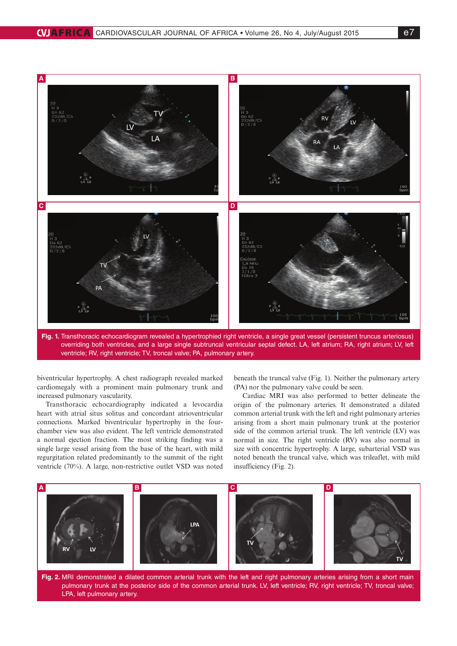

**Fig. 1.** Transthoracic echocardiogram revealed a hypertrophied right ventricle, a single great vessel (persistent truncus arteriosus) overriding both ventricles, and a large single subtruncal ventricular septal defect. LA, left atrium; RA, right atrium; LV, left ventricle; RV, right ventricle; TV, troncal valve; PA, pulmonary artery.

biventricular hypertrophy. A chest radiograph revealed marked cardiomegaly with a prominent main pulmonary trunk and increased pulmonary vascularity.

Transthoracic echocardiography indicated a levocardia heart with atrial situs solitus and concordant atrioventricular connections. Marked biventricular hypertrophy in the fourchamber view was also evident. The left ventricle demonstrated a normal ejection fraction. The most striking finding was a single large vessel arising from the base of the heart, with mild regurgitation related predominantly to the summit of the right ventricle (70%). A large, non-restrictive outlet VSD was noted

beneath the truncal valve (Fig. 1). Neither the pulmonary artery (PA) nor the pulmonary valve could be seen.

Cardiac MRI was also performed to better delineate the origin of the pulmonary arteries. It demonstrated a dilated common arterial trunk with the left and right pulmonary arteries arising from a short main pulmonary trunk at the posterior side of the common arterial trunk. The left ventricle (LV) was normal in size. The right ventricle (RV) was also normal in size with concentric hypertrophy. A large, subarterial VSD was noted beneath the truncal valve, which was trileaflet, with mild insufficiency (Fig. 2).



**Fig. 2.** MRI demonstrated a dilated common arterial trunk with the left and right pulmonary arteries arising from a short main pulmonary trunk at the posterior side of the common arterial trunk. LV, left ventricle; RV, right ventricle; TV, troncal valve; LPA, left pulmonary artery.